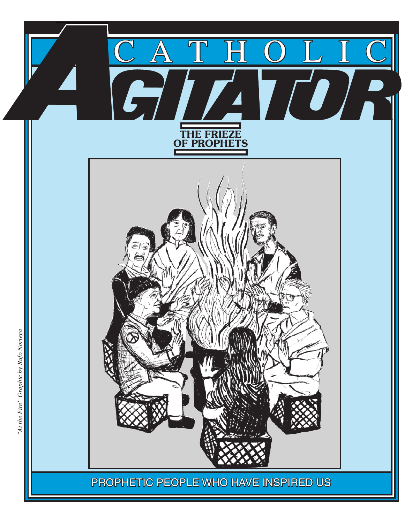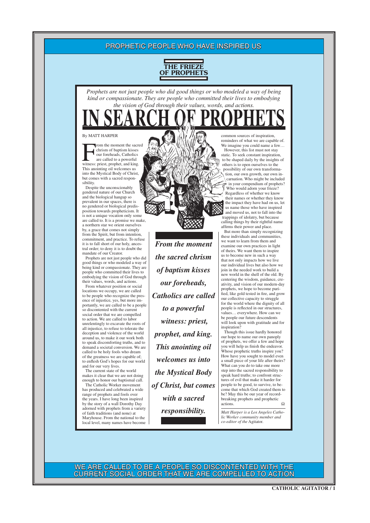**CATHOLIC AGITATOR / 1**

**IN SEARCH OF PROPHETS**



By MATT HARPER

From the moment the sacred chrism of baptism kisses our foreheads, Catholics are called to a powerful witness: priest, prophet, and king. This anointing oil welcomes us into the Mystical Body of Christ, but comes with a sacred responsibility.

 Despite the unconscionably gendered nature of our Church and the biological hangup so prevalent in our spaces, there is no gendered or biological predisposition towards propheticism. It is not a unique vocation only some are called to. It is a promise we make, a northern star we orient ourselves by, a grace that comes not simply from the Spirit, but from intention, commitment, and practice. To refuse it is to fall short of our holy, ancestral order; to deny it is to doubt the mandate of our Creator.

 Prophets are not just people who did good things or who modeled a way of being kind or compassionate. They are people who committed their lives to embodying the vision of God through their values, words, and actions.

 From whatever position or social locations we occupy, we are called to be people who recognize the presence of injustice, yes, but more importantly, we are called to be a people so discontented with the current social order that we are compelled to action. We are called to labor unrelentingly to excavate the roots of all injustice, to refuse to tolerate the deception and violence of the world around us, to make it our work both to speak discomforting truths, and to demand a societal conversion. We are called to be holy fools who dream of the greatness we are capable of; to enflesh God's hopes for our world and for our very lives.

 The current state of the world makes it clear that we are not doing enough to honor our baptismal call.

 The Catholic Worker movement has produced and celebrated a wide range of prophets and fools over the years. I have long been inspired by the story of a wall Dorothy Day adorned with prophets from a variety of faith traditions (and none) at Maryhouse. From the national to the local level, many names have become

people to be good, to survive, to become that which God created them to be? May this be our year of recordbreaking prophets and prophetic actions.  $\Omega$ 

common sources of inspiration,

reminders of what we are capable of. We imagine you could name a few… However, this list must not stay static. To seek constant inspiration, to be shaped daily by the insights of others is to open ourselves to the possibility of our own transforma tion, our own growth, our own in carnation. Who might be included in your compendium of prophets? Who would adorn your frieze? Regardless of whether we know their names or whether they know the impact they have had on us, let us name those who have inspired and moved us, not to fall into the trappings of idolatry, but because calling things by their rightful name affirms their power and place.

 But more than simply recognizing these individuals and communities, we want to learn from them and examine our own practices in light of theirs. We want them to inspire us to become new in such a way that not only impacts how we live our individual lives but also how we join in the needed work to build a new world in the shell of the old. By centering the wisdom, guidance, creativity, and vision of our modern-day prophets, we hope to become purified, like gold tested in fire, and grow our collective capacity to struggle for the world where the dignity of all people is reflected in our structures, values… everywhere. How can we be people our future descendents will look upon with gratitude and for inspiration?

 Though this issue hardly honored our hope to name our own panoply of prophets, we offer a few and hope you will help us finish the endeavor. Whose prophetic truths inspire you? How have you sought to model even a small piece of your life after theirs? What can you do to take one more step into the sacred responsibility to speak hard truths; to confront structures of evil that make it harder for

*Matt Harper is a Los Angeles Catholic Worker community member and co-editor of the* Agitator.

*From the moment* 

*the sacred chrism* 

*of baptism kisses* 

*our foreheads,* 

*Catholics are called* 

*to a powerful*

 *witness: priest,* 

*prophet, and king.* 

*This anointing oil* 

*welcomes us into* 

*the Mystical Body* 

#### *of Christ, but comes*

*with a sacred* 

*responsibility.* 

*Prophets are not just people who did good things or who modeled a way of being kind or compassionate. They are people who committed their lives to embodying the vision of God through their values, words, and actions.* 

#### PROPHETIC PEOPLE WHO HAVE INSPIRED US

#### WE ARE CALLED TO BE A PEOPLE SO DISCONTENTED WITH THE CURRENT SOCIAL ORDER THAT WE ARE COMPELLED TO ACTION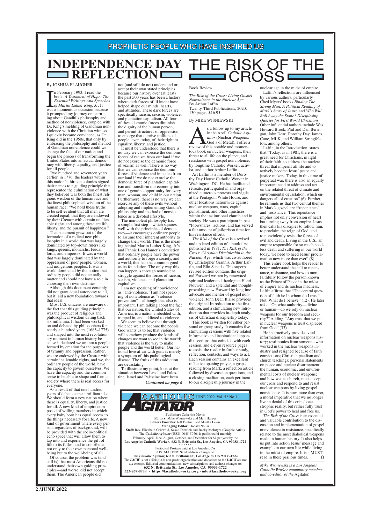**2 /JUNE 2022**

**Publisher:** Catherine Morris **Editors:** Mike Wisniewski and Matt Harper **Editors Emeritus:** Jeff Dietrich and Martha Lewis **Managing Editor:** Donald Nollar **Staff:** Rev. Elizabeth Griswold, Susan Dietrich and Becky McIntyre (Graphic Artist) The *Catholic Agitator* (ISSN-0045-5970) is published bi-monthly February, April, June, August, October, and December for \$1 per year by the **Los Angeles Catholic Worker, 632 N. Brittania St., Los Angeles, CA 90033-1722 • • • • • •**

Periodical Postage paid at Los Angeles, CA POSTMASTER: Send address changes to: The *Catholic Agitator,* **632 N. Brittania St., Los Angeles, CA 90033-1722** The *LACW* is not a 501(c).(3) non-profit organization and donations to the *LACW* are not tax-exempt. Editorial communications, new subscriptions, and address changes to: **632 N. Brittania St., Los Angeles, CA 90033-1722 323-267-8789 • https://lacatholicworker.org • info@lacatholicworker.org**

In February 1993, I read the<br>book, A Testament of Hope: The<br>Essential Writings And Speeches<br>of Martin Luther King, Jr. It<br>was a momentous occasion because n February 1993, I read the book, *A Testament of Hope: The Essential Writings And Speeches of Martin Luther King, Jr*. It it prompted my journey on learn- ing about Gandhi's philosophy and method of nonviolence, coupled with Dr. King's melding of Gandhian non- violence with the Christian witness. I quickly became convinced, as Dr. King did in the 1950s, that only by embracing the philosophy and method of Gandhian nonviolence could we change the fate of our nation and begin the process of transforming the<br>United States into an actual democracy with liberty, equality, and justice for all people.

 Two hundred and seventeen years earlier, in 1776, the leaders within this nation's thirteen colonies signed their names to a guiding principle that represented the culmination of what they believed was both the finest reli gious wisdom of the human race and the finest philosophical wisdom of the human race: "We hold these truths to be self-evident that all men are created equal, that they are endowed by their Creator with certain unalien-<br>able rights and among these are life, liberty, and the pursuit of happiness.'

#### PROPHETIC PEOPLE WHO HAVE INSPIRED US

## **INDEPENDENCE DAY REFLECTION**

#### By JOSHUA FLAUGHER

 That statement grew out of the formation of a radical new phi- losophy in a world that was largely dominated by top-down rulers like kings, queens, monarchs, feudal lords, and emperors. It was a world that was largely dominated by the oppression of poor people, women, and indigenous peoples. It was a world dominated by the notion that ordinary people did not actually matter and should not have a role in choosing their own destinies.

 Although this document certainly did not grant equal autonomy to all, but it laid a new foundation towards that ideal.

 Most U.S. citizens are unaware of the fact that this guiding principle was the product of religious and philosophical wisdom dating back six millennia. It had been worked on and debated by philosophers for nearly a hundred years (1685–1775) and shaped into the most revolution-<br>ary moment in human history be-<br>cause it declared we are not a people formed by creation for the purposes of tyranny and oppression. Rather, we are endowed by the Creator with certain inalienable rights, and we, the ordinary people of the world, have the capacity to govern ourselves. We have the capacity and the common sense to be able to shape and form a society where there is real access for

# THE RISK OF THE **CROSS**

everyone.

s a follow up to my article<br>in the April *Catholic Agitator* (Nuclear Weapons:<br>God's of Metal), I offer a<br>review of this notable and momenin the April *Catholic Agitator* (Nuclear Weapons: God's of Metal), I offer a tous book on nuclear weapons, their threat to all life on the planet, and resistance with gospel nonviolence, by longtime Catholic Worker, activist, and author Arthur Laffin.

 As a result of that one hundred years of debate came a brilliant idea: We should form a new nation where there is equality, liberty, and justice posed of willing members in which every baby born has equal access to the things necessary for life. A new kind of government where every per-<br>son, regardless of background, will be provided with the socio-political echo space that will allow them to tap into and experience the gift of life to its fullest and to contribute, not only to their own personal wellbeing but to the well-being of all. Of course, the problem was (and still is) that most Americans did not understand their own guiding prin- ciples—and worse, did not accept them. The American people did

# $\mathbb{C}$  JUNE 2022 Vol. 52 No.3

not (and still do not) understand or accept their own stated principles because our history over (at least) the past 500 years has been a history where dark forces of ill intent have helped shape our minds, hearts, and attitudes. These dark forces are specifically racism, sexism, violence, and plantation capitalism. All four of these demonic forces diminish the dignity of the human person, and permit structures of oppression to emerge that deprive millions of people, even today, of their right to equality, liberty, and justice.

 Laffin, in the Introduction, states that "Today, as in 1981, there is a great need for Christians, in light of their faith, to address the nuclear threat that imperils all life and to actively become Jesus' peace and justice makers. Today, in this time of perpetual war, there is also an equally important need to address and act on the related threat of climate and environmental devastation, which endangers all of creation" (6). Further, he reminds us that two central themes in Mark's gospel are "'repentance' and 'resistance.' This repentance implies not only conversion of heart but turning away from empire. Jesus then calls his disciples to follow him, to proclaim the reign of God, and to nonviolently resist the forces of evil and death. Living in the U.S., an empire responsible for so much needless death and suffering in our world today, we need to heed Jesus' proclamation now more than ever" (8).

 It must be understood that there is no way we can exorcise the demonic forces of racism from our land if we do not exorcise the demonic force of sexism as well. There is no way that we can exorcise the demonic forces of violence and injustice from our land if we do not exorcise the demonic force of plantation capital- ism and transform our economy into one of genuine opportunity for every man, woman, and child in our nation. Furthermore, there is no way we can exorcise any of these evils without adopting and implementing Gandhi's philosophy and method of nonvio- lence as a devoted lifestyle.

> He instructively provides vital information on nuclear weapons history; testimonies from someone who worked in the nuclear weapons industry and resigned because of faith convictions; Christian pacifism and church teachings; personal statements on peace and nuclear disarmament; the human, economic, and environmental costs of nuclear weapons; and how we, as church, must accept our cross and respond to and resist nuclear weapons by living gospel nonviolence. It is now, more than ever, a moral imperative that we no longer live in denial of this crisis' catastrophic reality, but rather fully trust in God's power to heal and free us. *The Risk of the Cross* is an essential and valuable contribution to the discussion and implementation of gospel nonviolence in resistance, specifically related to the most diabolical weapons made in human history. It also helps us put into action Jesus' message and example in our own life while living in the midst of empire. It is a MUST read in these perilous times.  $\Omega$

 The nonviolent philosophy has a simple first step—which squares well with the principles of democ- racy—it encourages ordinary people to assume their inherent authority to change their world. This is the mean- ing behind Martin Luther King, Jr.'s and Fannie Lou Hamer's conviction that ordinary people have the power and authority to forge a society, and a world, that has the common good as its foundation. The only way this can happen is through nonviolent struggle against the forces of racism, sexism, violence, and plantation capitalism.

I am not speaking of nonviolence<br>as "anti-violence." I am not speaking of nonviolence as "violence" prevention"—although that also is important. I am talking about the fact that our nation, the United States of America, is a nation embedded with, trapped in, and addicted to violence. We seem to believe that through

violence we can become the people God wants us to be; that violence will somehow produce the kinds of changes we want to see in the world; that violence is the way to make people and the world better. Our na- tional love affair with guns is merely a symptom of this pathological disease. The fruits of this addiction are devastating.

 To illustrate my point, look at the situation between Israel and Pales- tine. Israel and Palestine have been

#### *Continued on page 6*

#### Book Review

*The Risk of the Cross: Living Gospel Nonviolence in the Nuclear Age* By Arthur Laffin Twenty-Third Publications, 2020, 130 pages, \$16.95

By MIKE WISNIEWSKI

 Art Laffin is a member of Dorothy Day House Catholic Worker in Washington, DC. He has facilitated retreats, participated in and organized numerous protests and vigils at the Pentagon, White House, and other locations nationwide against nuclear weapons, wars, capital punishment, and other injustices within the institutional church and in society. He was a participant in past "Plowshares" actions, and has served a fair amount of jail/prison time for his resistance efforts.

 *The Risk of the Cross* is a revised and updated edition of a book first published in 1981, *The Risk of the Cross: Christian Discipleship in the Nuclear Age*, which was co-authored by Christopher Grannis, Arthur Laffin, and Elin Schade. This superb revised edition contains the original Forward written by renowned spiritual leader and theologian Henri Nouwen, and a splendid and thoughtprovoking new Forward by longtime advocate and mentor of gospel nonviolence, John Dear. It also provides the original Introduction to the first edition, and a stimulating new Introduction that provides in-depth analysis of Christian discipleship today.

 This book is written for either personal or group study. It contains five stimulating sessions with five related informative and inspirational appendix sections that coincide with each session, and eleven resource pages to assist the reader in further study, reflection, contacts, and ways to act. Each session contains an excellent reflective opening prayer, a gospel reading from Mark, a reflection article followed by discussion questions, and a closing meditation, each pertinent to our discipleship journey in the

nuclear age in the midst of empire. Laffin's reflections are influenced by various authors, particularly Ched Myers' books *Binding The Strong Man: A Political Reading of Mark's Story of Jesus,* and *Who Will Roll Away the Stone? Discipleship Queries for First World Christians*. Other influential authors include Wes Howard Brook, Phil and Dan Berrigan, John Dear, Dorothy Day, James Cone, MLK, and William Stringfellow, among others.

 This entire book helps the reader to better understand the call to repentance, resistance, and how to more faithfully follow the person known as the Prince of Peace in the midst of empire and its nuclear madness. Laffin affirms that "The central question of faith is: In whom do I trust? Not: What do I believe" (12). He later asks: "On what authority—divine or human—do we rely on nuclear weapons for our freedom and security?" Adding, "Any trust that we put in nuclear weapons is trust displaced from God" (33).

*Mike Wisniewski is a Los Angeles Catholic Worker community member and co-editor of the* Agitator.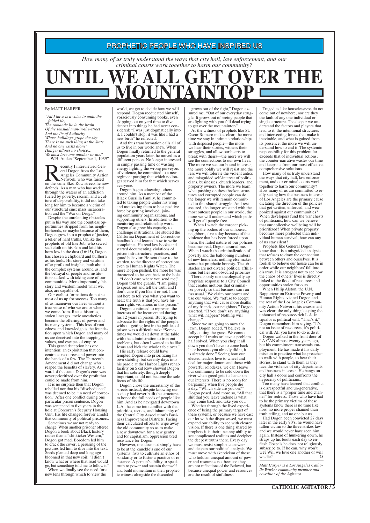**CATHOLIC AGITATOR / 3**

#### PROPHETIC PEOPLE WHO HAVE INSPIRED US

# **EALL GET OVER T MOUNTAINTOP**

#### By MATT HARPER

*"All I have is a voice to undo the folded lie,*

*The romantic lie in the brain Of the sensual man-in-the-street And the lie of Authority Whose buildings grope the sky: There is no such thing as the State And no one exists alone; Hunger allows no choice… We must love one another or die."*

- W.H. Auden "September 1, 1939"

**Example 2** interviewed General Dogon from the Los<br>Angeles Community Action<br>Network, who was raised<br>on the same Skid Row streets he now eral Dogon from the Los Angeles Community Action Network, who was raised defends. As a man who has waded through the waters of an addiction fueled by poverty, racism, and a culture of disposability, it did not take long for him to become a victim of our structural sins: mass incarceration and the "War on Drugs."

 Despite the unrelenting obstacles put in his way and the countless opportunities stripped from his neighborhoods, or maybe because of them, Dogon grew into a prophet of justice, a teller of hard truths. Unlike the prophets of old like Job, who sewed sackcloth on his skin and laid his horn low in the dust (16:15), Dogon has chosen a clipboard and bullhorn as his tools. His story and wisdom offer profound insights, both about the complex systems around us, and the betrayal of people and institutions tasked with taking care of our communities. More importantly, his story and wisdom model what we, also, are capable of.

 Our earliest formations do not set most of us up for success. Too many of us maneuver our lives without a true sense of who we are or where we come from. Racist histories, stolen lineages, toxic anesthetics become the offerings of power and its many systems. This loss of rootedness and knowledge is the foundation upon which Dogon and many of us are deceived into the trappings, values, and escapes of empire.

 This grand deception has one intention: an exploitation that concentrates resources and power into the hands of a few. The Thirteenth Amendment did not change who reaped the benefits of slavery. As a ward of the state, Dogon's care was never prioritized over the profit that could be made from him.

'I don't care where you send me," Dogon told the guards. "I am going to speak out and tell the truth and  $\overline{I}$ don't care if you like it or not. I am not here to tell you what you want to hear; the truth is that you have hu- man rights violations in this prison."

 It is no surprise then that Dogon rebelled nor that his "disobedience" was deemed to be "in need of correction." After one conflict during one particular prison sentence, Dogon was sentenced to five years in the hole at Corcoran's Security Housing Unit. His life changed forever amidst that community of political prisoners. Sometimes we are not ready to change. When another prisoner offered Dogon a book about Black history rather than a "shitkicker Western," Dogon got mad. Boredom led him to crack the cover; a perusing of the pictures led him to dive into the text. Seeds planted deep and long ago bloomed in that new soil: "I didn't know what or where that road would go, but something told me to follow it." When we finally see the need for a new lens through which to view the

 "grows out of the fight," Dogon assured me. "Out of our everyday struggle. It grows out of seeing people that are fighting with you fall dead trying to get over the mountaintop."

world, we get to decide how we will respond. Dogon reeducated himself, voraciously consuming books, even skipping out on yard time to dive<br>deeper into things he had never considered: "I was just dogmatically into it, I couldn't stop, it was like I had a new birth" he reflected.

 And thus transformation calls all of us to live in our world anew. When Dogon finally returned to the general population years later, he moved as a different person. No longer interested in simply passing time or wasting energy fighting the wrong purveyors of violence, he committed to a new ger served him for that which serves everyone.

> There is only one theologically appropriate response to a City Council that creates motions that criminalize poverty so that business can run "as usual." We claim our power and use our voice. We "refuse to accept anything that will cause more deaths of my friends, our neighbors," Dogon asserted. "If you don't say anything, what will happen? Nothing will change."

 Dogon began educating others around him. As a member of the Black Guerilla Family, he commit- ted to taking people under his wing and motivating them to be a positive force by getting involved, join- ing community organizations, and supporting others. In addition to the mentoring and relationship work, Dogon also grew his capacity to challenge institutions. He studied the California Department of Corrections handbook and learned how to write complaints. He read law books and started documenting violations of prison infrastructure, practices, and guard behavior. He sent these to the warden, to the director of corrections, even to Human Rights Watch. The more Dogon pushed, the more he was threatened to be sent back to the hole.

 Dogon continued to represent the interests of the incarcerated during his 12 years in prison. But trying to advocate for the rights of the people without getting lost in the politics of<br>prison was a difficult task: "Sometimes we would sit down at the table with the administration to iron out problems, but often I wanted to be like Jesus and kick the whole table over."

 His early release could have tempted Dogon into prioritizing his own stability, but seventy days into his parole at the Harbor Lights rehab facility on Skid Row showed Dogon that his sobriety, though deeply important, could not become the sole focus of his life. Dogon chose the uncertainty of the streets instead, despite knowing our society had never built the structures to honor the full needs of people like him. And as he navigated downtown L.A., he came into conflict with the priorities, tactics, and inhumanity of the Central City Association's Busi- ness Improvement Districts. Facing their calculated efforts to wipe away the old community so as to make a new downtown for a new gentry and for capitalism, oppression bred resistance for Dogon. However, one does not simply have to be at the knuckle's end of our systems' fists to cultivate an ethos of solidarity or to foster a practice of re- sistance. A person's ability to speak truth to power and sustain themself and build momentum in their prophet ic witness alongside the discarded

 As the witness of prophets like St. Oscar Romero makes clear, the more time we stay in intimate relationships with disposed people—the more we hear their stories, witness their struggles, and allow our hearts to break with theirs—the more we will see the connections to our own lives. The more we see our bound interests, the more boldly we will resist and the less we will tolerate the violent antics and misguided self-interest of politicians, businesses, church leaders, and property owners. The more we learn what pushing on these broken structures and corrupted people can do, the longer we will remain committed to this shared struggle. And rest assured, the longer we stand with the most outcast people in our world, the more we will understand which paths will get all people free.

 When I watch the coroner picking up the bodies of our unhoused neighbors, five a day because of the violence that has been forced upon them, the failed nature of our policies becomes real, Dogon assured me. When I watch the criminalization of poverty and the ballooning numbers of new homeless, nothing else makes sense but prophetic honesty. The obstacles are not diverse political affiliations but lies and obscured priorities.

 Since we are going to mow the lawn, Dogon added, "I believe in fully cutting the grass. We cannot accept half truths or leave a problem half solved. When you chop it all down you don't have to come back later because you already did it, it is already done." Seeing how our elected leaders love to wheel and deal for major donors and those with powerful rolodexes, we can't leave our community to be sold down the river when greed gets its hands on our interests. There is no room for bargaining when five people die a day. "Which side are you on?" Dogon posed. And more so, "All that shit that you leave undone is what may come back and take you out." Whether through the lived experience of being the primary target of these systems, or because we have cast our lot with the dispossessed, we must expand our ability to see with clearer vision. If there is one thing shared by prophets it is their uncanny ability to see complicated realities and decipher the deepest truths there. Every day we must resist simplistic answers and deepen our political analysis. We must move with skepticism of those who hold an unequal amount of power and resources not because they are not reflections of the Beloved, but because unequal power and resources are the result of sinfulness.

 Tragedies like houselessness do not come out of nowhere, nor are they the fault of any one individual or single structure. The deeper we understand the factors and players that lead to it, the intentional structures and intersecting forces that make it inevitable, and what is gained from its presence, the more we will understand how to end it. The systemic responsibility for this problem far exceeds that of individual actions; the counter-narrative wastes our time and keeps us from our most effective, comprehensive solutions.

 How many of us truly understand the ways that city hall, law enforcement, and our criminal courts work together to harm our community? How many of us are committed to really seeing how the business interests of Los Angeles are the primary cause dictating the direction of the policies that get written, enforced, and weaponized against our communities? When developers fund the war chests of politicians, how can we believe that our collective wellbeing will be prioritized? When private property becomes more protected than individual human survival, how can any of us stay silent?

 Prophets like General Dogon know that it is a misguided analysis that refuses to draw the connection between others and ourselves. It is foolish to believe our house can be in order while our neighbors' fall into disarray. It is arrogant not to see how the chaos of others' lives is directly linked to the flood of resources and opportunities stolen for ours.

 When Philip Alston, the U.N. Rapporteur on Extreme Poverty and Human Rights, visited Dogon and the rest of the Los Angeles Community Action Network, his assessment was clear: the only thing keeping the unhoused of resource-rich L.A. in squalor is political will. "That's it," Dogon remembers him saying. "It's not an issue of resources, it's political will. All you have to do is do it."

 Dogon walked in the front door of LA CAN almost twenty years ago, but his commitment transcends employment. He has made it his daily mission to practice what he preaches: to walk with people, to hear their stories, to stand with them as they face the violence of city departments and business interests. He bangs on city hall's doors and confronts the hypocrisy of politicians.

oo many have learned that conflict is disrespectful and un-generative, that there is a "proper time and channel" for redress. Those who have had to be the primary victims of these systems know there is no time like now, no more proper channel than truth telling, and no one but us. Had Dogon been convicted 27 days later in the early 90's, he would have fallen victim to the three strikes law and we would never have seen him again. Instead of hunkering down, he straps up his boots each day to enflesh Gospels he does not religiously subscribe to. If he can, why won't we? Will we love one another or will we die? we die?

*Matt Harper is a Los Angeles Catholic Worker community member and co-editor of the* Agitator.

*How many of us truly understand the ways that city hall, law enforcement, and our criminal courts work together to harm our community?*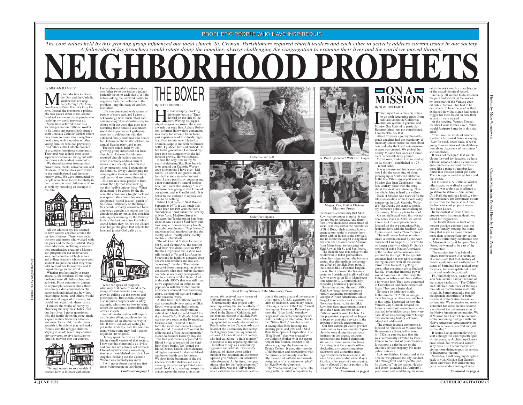#### PROPHETIC PEOPLE WHO HAVE INSPIRED US

# **NEIGHBORHOOD PROPHETS**

#### By MEGAN RAMSEY

**My** introduction to Doro-<br>thy Day and the Catholic<br>Worker was not origi-<br>*Loneliness* or Peter Maurin's *Easy Es*thy Day and the Catholic Worker was not originally through *The Long says*. Instead, the movement's philosophy was passed down to me, secondhand and well-worn by the people who made up my world growing up.

We shared harvests from gardens, power tools, meals, conversation, and childcare. New families were drawn to the neighborhood and the community grew. We were surrounded by people who chose to live faithfully to their values, to raise children to do so as well, by modeling an example in real life.

 Some have referred to me as a second-generation Catholic Worker. In St. Louis, my parents both spent a short time at a Catholic Worker before they chose to move into a neighborhood along with a number of other young families who had previously lived either at the Catholic Worker or at another intentional community. Their goal was to hold onto some aspects of communal living but with their own independent households.



 All the adults in my life seemed to have careers centered around the service of others. There were social workers and nurses who worked with the poor and mentally disabled. Many were educators, including a woman who spearheaded creating a Montessori program for our underserved area, and a number of high school and college teachers who empowered students to question what they were told, to think for themselves, and to impart change in the world.

 Whether professionally or recreationally, the residents of our neighborhood were all philosophers and activists. From community dinners to impromptu sidewalk chats, there was rarely a dull conversation. To name each individual and how they have impacted me, and others, would take several pages of this issue, and would not begin to do them justice.

 I studied the works of mercy by observing the way these folks lived out their lives. I never questioned why the family down the street made a space in their home for a houseless man. As a child, I wish I knew Spanish to be able to play and make friends with the refugee children staying in an old tavern my community converted to give sanctuary to families moving into our country.

Illustrations by Megan Ramsey





I remember regularly witnessing one father (who worked as a judge) patiently listen to each side of a fight before asking the involved parties to negotiate their own solution to the problem—my first taste of conflict resolution!

 Life interconnected with scores of people of every age, and I came to acknowledge how much effort and care meaningful relationships require. Along with the work that goes into nurturing these bonds, I also understood the importance of gathering together in celebration with this extended family crammed into homes for Halloween, the winter solstice, an annual Beatles party, and more.

e rose abruptly, cracking<br>the empty bottle of Thun-<br>derbird on the side of the<br>edged weapon he crossed the street the empty bottle of Thunderbird on the side of the curb. Waving his jaggedtowards our soup line. Aubury Robinson, a former lightweight contender, was ready for action. I knew from past experiences of his bloody rages that I had to intervene. He took a drunken swipe at me with his broken bottle, I grabbed him and pushed. He fell to the ground and I rammed my knee into his stomach with the full force of gravity. He was subdued.

 It was the only time in my 50 years of defusing Skid Row brawls in or around our Catholic Worker soup kitchen that I have ever "laid hands" on one of our guests, much less deliberately intended to hurt them. I am a pacifist by vocation and a non-combatant by natural inclination, but I knew that Aubury "Jack" Robinson was going to attack one of our guests, and as Gandhi said: "It is better to use violence to oppose evil than to do nothing.'

 The core values held by this growing group influenced our local church, St. Cronan. Parishioners required church leaders and each other to actively address current issues in our society. A fellowship of lay preachers would rotate doing the homilies, always challenging the congregation to examine their lives and the world we moved through.

 St. Cronan's drew people in from across the city that were seeking out this (sadly) unique focus. When threatened to be closed by the diocese, the community fought back and was spared; the church became the designated "social justice" parish of St. Louis. Politically on the fringe, this parish is fondly considered to be a gateway church: it is either the first church people try out as they consider entering (or returning to) the Catholic faith or the last one some Catholics attend before they believe the Church is no longer the place that reflects the love and justice God calls us to.



**Continued on page 6** and vandalizing his mem-<br> **Continued on page 6** and vandalizing his mem-<br> **Continued on page 6** and vandalizing his mem- We had just recently organized the Blood Strike, a boycott of the Skid Row blood banks. We formed the Blood Donors Union, which demanded higher payment for donated blood and better health care for donors. We slept in the basement of the old kitchen with the strikers and every morning we arose and picketed a targeted blood bank, sending prospective donors across the street to its com-



 When we speak of prophets, what may first come to mind is the image of those fervently rousing crowds, calling out the powers and palities. But societal change also requires prophets who lead by example, who show us how to bring to life the seemingly impossible calls of the Gospels.

 Social transformation will require a collective effort, people to lay the foundation of an alternative way of life. It takes individuals willing to put in the work to create the environment where some may find it easier to join in "to be good."

 Having spent the first half of my life in a small version of that society, I now see that community as idyllic and rare, but not entirely out of reach. I found myself craving something similar as I established my life in Los Angeles. Seeking out the Catholic Worker was naturally my move. I will never forget one of my first

times volunteering at the Hippie

petitor. We received many threats of  $\parallel$  tion of the entire area and the erection of a library, a U.S.C. extension, creation of businesses and luxury hotels. During a recess of the City Council hearing on Downtown Redevelopment the "Blue Book" somehow "appeared" on each councilperson's desk; detailing an alternative plan to the "Silver Book," one that aimed at saving Skid Row housing and creating parks and jobs and a Skid Row Development Corporation. The "Blue Book" plan was created by the Catholic Worker with the expert help of Jim Bonner, director of an advocacy group, the Community Design Center. It was, after months of deliberation and negotiations with the business community, eventually formalized with the unfortunate designation of a "containment plan" for Skid Row development. The "containment plan" came into

*The core values held by this growing group influenced our local church, St. Cronan. Parishioners required church leaders and each other to actively address current issues in our society. A fellowship of lay preachers would rotate doing the homilies, always challenging the congregation to examine their lives and the world we moved through.* 

# THE BOXER By JEFF DIETRICH

Catherine and Jeff



Seder Participants



Good Friday Stations of the Missionary Cross



St. Paul High School Walk For Hunger



Megan, Ken, Matt at Chateau Marmont Protest

I find myself on a mission. It has<br>to do with separating truths free<br>tall tales about the California<br>mission system in general, and<br>Mission San Gabriel in particular. find myself on a mission. It has to do with separating truths from tall tales about the California mission system in general, and Because things just got complicated. I am thankful for that.

 When I first came to Skid Row in September 1970, it was much like it had been for 100 years before: a "hobohemia." Not unlike the Bowery in New York, Madison Street in

Chicago, the Tenderloin in San Francisco, it was a classic Skid Row with bars, single room occupancy hotels, all night porn theaters, "flop houses," and evangelical missions serving the mostly white, mostly older, mostly alcoholic inhabitants.

 The old Central Station located at 5th St. and Central Ave, the heart of Skid Row, was demolished in 1956. But the Greyhound bus station was still located at 7th and Los Angeles Streets and its facilities attracted drug dealers and derelicts and low-cost "economy" travelers. The convergence of these transportation centers constitutes what most urban planners concede as necessary prerequisites for the creation of Skid Rows. And in the early 1970's that was still true, as we experienced an influx to our population with the winter months as workers returned from harvesting crops, working oil rigs, and various other seasonal work.

 At that time, the Catholic Worker was a completely new entity on Skid Row, I was a recent draft resister, anti-war protester, newly minted radical and I had just read Saul Alinsky's *Reveille for Radicals*. I did not want to save souls as the Evangelical Missions did, I wanted to transform the social environment as Saul Alinsky did. I wanted to "comfort the afflicted and afflict the comfortable" as our co-founder Dorothy Day did.

 Fr. John Molyneux, pastor at Mission San Gabriel, said at the time of that statue vandalism: "The California Catholic Conference of Bishops reminds us that the historical truth is that St. Serra repeatedly pressed the Spanish authorities for better treatment of the Native American community. We recognize and understand that for some, he has become a symbol of the dehumanization of the Native American community. We at Mission San Gabriel are committed to continuing dialogue with our Native American representatives in order to achieve a peaceful and just partnership.

firebombing and violence. Unfortunately, that project only ended up adding fuel to the efforts of the legislature to ban the sale of whole blood in the State of California and the eventual closing of all Skid Row blood banks. But it also led to my be ing appointed by newly elected mayor Tom Bradley to the Citizens Advisory Board of the Community Redevelopment Agency (over the vigorous objections of Councilman Gil Lindsey, who had called me "a little monkey" in response to my organizing efforts).

 Needless to say, as a community organizer and activist, I was vastly skeptical of sitting down with a bunch of businessmen and corporate types to give "advice" on downtown redevelopment. At the time, the operational plan for the "redevelopment" of Skid Row was the "Silver Book" which called for the wholesale destruc-

the business community that Skid Row was not going to move; it was just too big to relocate. And therefore it was decided to concentrate all social services within the boundaries of Skid Row, rehab existing hotels, create a non-profit to operate them along with in-house social services, and re-locate the largest evangelical mission, the Union Rescue Mission, from Main Street to the center of Skid Row at 6th St. and San Pedro.

 The tradeoff was that police would be allowed to ticket panhandlers when they migrated into the business center, thus diminishing the deleterious effect of the Skid Row poor. If that sounds like a Faustian bargain, it was. But it allowed the business center to flourish, and it allowed Skid Row to grow as an Ellis Island reception center to L.A.'s prodigiously expanding homeless population.

 Sometime around the mid 1980's Skid Row began to experience a rapidly expanding population of African Americans, whose drug of choice was crack cocaine. Not coincidentally, the first Skid Row homeless encampment sprang up in the vacant lot next to the Catholic Worker soup kitchen. As this population expanded we began to focus on essential services to the growing sidewalk encampments.

 Our first campaign was to provide porta-potties to a community of people who were doing their personal business on the streets, between parked cars and behind dumpsters. We were arrested numerous times for sitting in at the mayor's office, blockading city council members' bathrooms and disrupting meetings of Skid Row businessmen. We were finally successful when Mayor Riordan, after years of campaigning, finally allowed 30 porta-potties to be installed in Skid Row.

*Continued on page 6*

### **ON A MISSION** By TOM HOFFARTH

 About 20 years ago, my then-4thgrade daughter had the mandatory elementary school project to learn about how and why the California mission system was created. We picked the nearby Mission San Gabriel. Convenient, accessible holy ground.

 Drove over, soaked it all in, read up on its history—established in 1771 —report done.

 It was a warm and fuzzy reminder how I did the same kind of thing growing up in Southern California. In the late 1960s, my report was on Mission San Juan Capistrano—that fun, touristy place with the song about the swallows returning. Now, the whole thing is hard to swallow.

 Back at Mission San Gabriel for the latest incarnation of the Good Friday journey on the L.A. Catholic Worker's Via Crucis, the exercise shook my reference points and challenged my naivety. It was a jolt to the soul.

 On an intellectual level, this was not new news. Back in 2015, we saved a *New York Times* opinion piece focused on the pre-canonized Rev. Junípero Serra with the headline "California's Saint, and a Church's Sins." The well researched essay refer-

enced a website created by the Archdiocese of Los Angeles—it seems to no longer exist—in which Fr. Serra's method of using Native Americans in the creation of the missions was justified by the logic: If the Spanish colonists had not moved in to claim the region, even with all the secular terror it was to exert in getting it done, other countries such as England, Russia, "or another imperial power" would have done it. Either way, the Indigenous tribes could have suffered a far worse fate. They were converted to Catholicism and made citizens of Spain.They got a better deal.

 So peace be with their souls. In the summer of 2020, an assignment for *Angelus News* sent me back to this topic. I reported on how the Ventura City Council debated the future a nine-foot bronze Serra statue that had to be hidden away from vandals. What was causing this? Outrage over not having history acknowledged and addressed.

 The church found a compromise. It could be rehoused at Mission San Buenaventura (founded by Serra in 1782), in part because that site was conveniently elevated by Pope Francis to the rank of minor basilica. It was now a safer haven on the church's private property. No more public nuisance.

 L.A. Archbishop Gomez said at the time he was pleased the city conducted a "thoughtful and respectful public discourse" on the matter. He also said those "attacking St. Junípero's good name and vandalizing his mem-

orials do not know his true character or the actual historical record."

 Actually, all we had to do was hear the pain and sorrow in the voices by those part of the Ventura council public forums. One had to be empathetic to hear the grief as they explained how that statue had been a trigger for them based on how their ancestors were treated.

 At the meeting, Ventura Council member Lorrie Brown asked: What would Junípero Serra do in this situation?

 "I will use the words of another speaker who quoted Serra as saying, 'Ever forward, never back,' if we're going to move forward this deliberation about placement of the statues," she concluded.

 It does not feel quite that simple. Going forward for decades, we have told our schoolchildren a convenient, quasi-authentic account that feels more like a paint-by-number kit found in a mission parish gift store. There is a grave need to go back and fact check.

 On this new L.A. Catholic Worker pilgrimage, we walked a road of tears. It was a physical challenge to go station to station—San Gabriel City Hall, the millrace facility, a former monastery for Dominican sisters across from the Grape Vine Arbor, the homestead of property owner Don Juan Lopez.

 In the context of Jesus Christ's procession to his human death, we asked for forgiveness.

 The fourth station in front of the modest mission cemetery was not just profoundly moving, but something that made us move toward more than some perfunctory action.

 At this traffic-busy confluence next to Mission Road and Junípero Serra Drive, we wanted to be part of the resurrection.

 The mission itself sat behind a fenced gate because of a recent act of arson—add that to its history of floods, epidemics and earthquakes. A statue of Serra had been tucked away for years, last seen splattered in red paint and nearly decapitated.

 It seems like an honorable way to start a thoughtful and respectful public discourse, as Archbishop Gomez once asked. But when and where? Why does it still seem that we are giving more disingenuous lip service to Indigenous victims?

 Someday, I will bring my daughter back to visit Mission San Gabriel. Older and wiser. Her children may get a better understanding of what

Photos by Mike Wisniewski

Wisni

Ĕ.

by Mike

Photos

Chateau Marmount Protest Photo by Hannah Peterson

Photo by Han

lah Pei

nount Prote

 $Mar$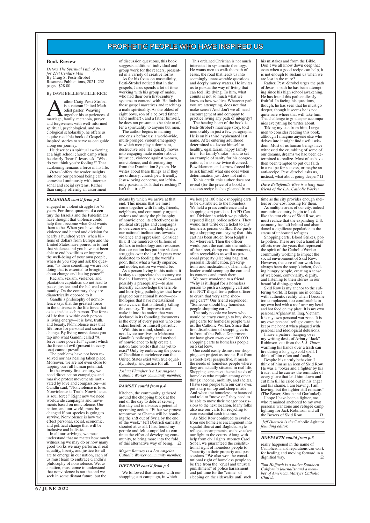#### **6 / JUNE 2022**

#### **Book Review**

*Detox! The Spiritual Path of Jesus for 21st Century Men* By Craig S. Pesti-Strobel Resource Publications, 2021, 252 pages, \$28.00

#### By DAVE BELLEFEUILLE-RICE

Author Craig Pesti-Strobel marriage, family, metanoia, prayer, is a veteran United Methodist pastor. Weaving together his experiences of and forgiveness with well-informed spiritual, psychological, and sociological scholarship, he offers us a quite readable book of Gospelinspired stories to serve as one guide along our journey.

 He describes a spiritual awakening at a high school church camp when he clearly "heard" Jesus ask, "Who do you think you're fooling?" That awakening remains a force in his life.

 *Detox!* offers the reader insights into how our personal being can be enmeshed ominously with interpersonal and social systems. Rather than simply offering an assortment

of discussion questions, this book suggests additional individual and group work for the readers, presented in a variety of creative forms.

 As for his focus on masculinity, Pesti-Strobel noticed that in the gospels, Jesus spends a lot of time working with his group of males, who had their own first-century systems to contend with. He finds in those gospel narratives and teachings a male spirituality. As the oldest of eight boys, son of a beloved father (and mother!), and a father himself, he does not presume to be able to offer a spirituality to anyone but men.

 The author begins in naming one crisis before us: a world-wide, multi-pronged violent emergency in which men play a dominant, destructive role. He quickly moves into engaging male readers about injustice, violence against women, nonviolence, and disentangling from the Domination System. He writes about these things as if they are ordinary, church pew-friendly, Jesus-loving concerns, not leftistonly passions. Isn't that refreshing!? Isn't that true!?

 Taking my cue from him, I urge men to consider reading this book, although I imagine anyone else who delves into it might find useful wisdom. Most of us human beings have witnessed the crumbling of some of our dreams, dreams we had been determined to realize. Most of us have then been tempted to put our faith in a recipe for success, or maybe an anti-recipe. Pesti-Strobel asks us, instead, what about going deeper?  $\Omega$ 

engaged in violent struggle for 75 years. For three-quarters of a cen- tury the Israelis and the Palestinians have thought that violence could help them become what God wants them to be. When you have tried violence and hatred and division for nearly a hundred years, when bil- lions of dollars from Europe and the United States have poured in to fuel that violence and you have not been able to end hostilities or improve the well-being of your own people,<br>when do you stop and ask the question, "Is there something we are not doing that is essential to bringing about change and lasting peace?

 This ordained Christian is not much interested in systematic theology. He wants men to walk the path of Jesus, the road that leads us into seemingly unanswerable questions and deeply murky waters. He invites us to pursue the way of living that can feel like dying. To him, what counts is not so much what we know as how we live. Whatever path you are attempting, does not that make sense? And don't we all need encouragement and company to practice living any path of integrity?

Gandhi's philosophy of nonvio-<br>lence says that the greatest force in the universe is the life force that exists inside each person. The force of life that is within each person is living energy—it is love, truth, and beauty. Nonviolence uses that life force for personal and social change. By living nonviolence you tap into what Gandhi called "A force more powerful" against which the forces of evil (present in every- one) cannot prevail.

 The beating heart of the book is Pesti-Strobel's marriage story, told memorably in just a few paragraphs. He is on his third hyphenated last name. After entering adulthood determined to devote himself to healthy, egalitarian, happy family life—for family's sake—and to set an example of sanity for his congregations, he is now twice divorced. Bewilderment and sorrow forced him to ask himself what one does when determination just does not cut it.

 To his credit, this author does not reveal (for the price of a book) a success recipe he has gleaned from

his mistakes and from the Bible. Don't we all know down deep that even when a good recipe can help, it is not enough to sustain us when we are lost in the mire?

 Rather, Pesti-Strobel urges the path of Jesus, a path he has been attempting since his high school awakening. He has found this path endlessly fruitful. In facing his questions, though, he has seen that he must go deeper, though it seems he is not quite sure where that will take him. The challenge to go deeper accompanies everything he writes about.

 With this in mind, should we not devote our lives to Mahatma Gandhi's philosophy and method of nonviolence to help create a nation (and world) that has yet to exist? Only by embracing the power of Gandhian nonviolence can the United States exist with true equal-<br>ity, liberty, and justice for all.  $\Omega$ 

Kitchen, the community gathered around the chopping block at the end of the day to debrief serving that day and to discuss a potential upcoming action. "Either we protest ing the sh!t out of Syria by the end of the week," Jeff Dietrich earnestly shouted at us all. I had found my people and felt compelled to con- tinue the effort of developing com- munity, to bring more into the fold of this alternative way of being.  $\Omega$ 

*Dave Bellefeuille-Rice is a long-time friend of the L.A. Catholic Worker.* 

#### *FLAUGHER cont'd from p.2*

 Racism, sexism, violence, and plantation capitalism do not lead to peace, justice, and the beloved com- munity. On the contrary, they are diametrically opposed to it.

> would be crazy enough to buy shop-<br>ping carts for homeless people was us, the Catholic Worker. Since that first distribution of shopping carts in front of the Police Department we have given away over 100,000 shopping carts to homeless people

 The problems have not been re- solved nor has healing taken place. Moreover, we are not even close to tapping our full human potential.

on Skid Row.<br>One could easily dismiss our shopping cart project as insane. But from a street-level perspective, it meets the needs of homeless people where they are actually situated in real life. Shopping carts meet the real needs of homeless who require among other things: income, mobility, and shelter. I have seen people turn our carts over, put a tarp on top and sleep inside. And when the homeless are harassed and told to "move on," they need to be able to move their meager posses sions to the next location. Many folks also use our carts for recycling to earn essential cash income. As Skid Row continued to evolve from one homeless encampment into squalid Beirut and Baghdad style refugee encampments, we have taken our fight to the courts. Along with help from civil rights attorney Carol Sobel, we guaranteed the constitu- tional right of homeless people to "security in their property and possessions." We also won the constitutional right of homeless people to be free from the "cruel and unusual punishment" of police harassment and jail time for the "crime" of sleeping on the sidewalks until such

 In the twenty-first century, we need direct action campaigns and massive protest movements moti-<br>vated by love and compassion—as Gandhi said, "Nonviolence is love. Nonviolence is Truth. Nonviolence is soul force." Right now we need worldwide campaigns and move- ments based on nonviolence. Our nation, and our world, must be changed if our species is going to survive. Nonviolence is how we effect personal, social, economic, and political change that will be inclusive and holistic. In all our strivings, we must understand that no matter how much witnessing we may do or how many good works we may perform, if real equality, liberty, and justice for all are to emerge in our nation, each of us must learn to embrace Gandhi's philosophy of nonviolence. We, as a nation, must come to understand that nonviolence is not the end we seek in some distant future, but the

Skid Row is my anchor to the suf-<br>fering world. It keeps me in contact with authentic reality when I become too complacent, too comfortable in my own bed with a roof over my head and hot food on my plate. It is my own personal Afghanistan, Iraq, Vietnam. It is my own personal war zone. It is my own personal refugee camp that keeps me honest when plagued with personal and ideological delusions.

 Despite his unruly behavior, I think of him as an icon of Skid Row. He was a "boxer and a fighter by his trade, and he carries the reminder of every glove that laid him down and cut him till he cried out in his anger and his shame, I am leaving, I am leaving, but the fighter still remains" (The Boxer, Simon and Garfunkel). I hope I have been a fighter, too, who remained anchored to my own personal war zone and refugee camp fighting for Jack Robinson and all<br>the Boxers of Skid Row.  $\Omega$ the Boxers of Skid Row.

really happened in the name of Catholicism, and reparations can work for healing and moving forward in a dignified way.  $\Omega$ 

means by which we arrive at that end. This means that we must come together with family, friends, neighbors, and community organi- zations and study the philosophy of nonviolence, its effectiveness in political struggles and campaigns to overcome evil, and help change our national inclinations towards violence and oppression. Consider this: If the hundreds of billions of dollars in technology and resources that our nation has put into violent struggles over the last 50 years were dedicated to feeding the world's poor, think what a vastly superior,

 As a person living in this nation, it is okay to appreciate the country we live in. However, it is possible—and possibly a prerequisite—to also honestly acknowledge the terrible and horrifying pathologies that have plagued our national history—pa- thologies that have metastasized into a cancer that is literally killing this country. To improve it and make it into the nation that was declared in its founding documents is the duty of every person who con- siders herself or himself patriotic.

*Joshua Flaugher is a Los Angeles Catholic Worker community member.*

#### *RAMSEY cont'd from p.4*

and nobler, nation we would be. we bought 100 black shopping carts to be distributed to the homeless. We held a press conference and a shopping cart parade at LAPD Central Division in which we publicly exposed illegal police actions. They would first write out a ticket to any homeless person on Skid Row push-<br>ing a shopping cart, saying that: this cart has been stolen from Ralph's (or wherever). Then the officer would push the cart into the middle of the street, dump out the contents, sonal property (sleeping bag, tent, personal identification, prescrip- tions and medications). Then a skip loader would scoop up the cart and

*Megan Ramsey is a Los Angeles Catholic Worker community member.*

#### *DIETRICH cont'd from p.5*

its contents and crush them. We once wondered to a friend, "Why is it illegal for a homeless person to push a shopping cart and it is NOT illegal for a police officer ping cart?" Our friend responded: "Someone should buy homeless people shopping carts." The only people we knew who

 We followed that success with our shopping cart campaign, in which

time as the city provides enough shel ters or low-cost housing for them.

 As multiple areas of our city, indeed our entire country, begin to look like the tent cities of Skid Row, we must realize that the expanding U.S. economy has left behind and aban doned a significant population to the status of unhoused refugees.

 Shopping carts, Blood Strikes, por- ta-potties. These are but a handful of efforts over the years that represent the spirit of the Catholic Worker community working to impact the social environment of Skid Row. However, the core of our work has always been the soup kitchen, feed- ing hungry people, creating a sense of welcome, conviviality, dignity, and listening to their stories in our beautiful dining-garden.

 I have a picture, hanging over my writing desk, of Arbury "Jack" Robinson, cut from the *L.A. Times*, warming his hands over a trash can fire during a long ago cold spell. I think of him often and fondly.

 *Jeff Dietrich is the* Catholic Agitator *founding editor.*

#### *HOFFARTH cont'd from p.5*

*Tom Hoffarth is a native Southern California journalist and a mem- ber of American Martyrs Catholic Church.*

#### PROPHETIC PEOPLE WHO HAVE INSPIRED US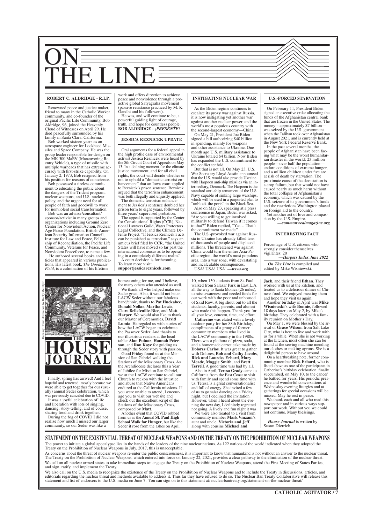#### **CATHOLIC AGITATOR / 7**

# ON<sub>N</sub> THE LINE

 *House Journal* is written by Susan Dietrich.

 *On The Line* is compiled and edited by Mike Wisniewski.

#### **U.S.-FORCED STARVATION**

**THE HOUSE JOURNAL** Hennacy House illustration by Becky McIntyre

#### **ROBERT C. ALDRIDGE - R.I.P.**

 Renowned peace and justice maker, friend to many in the Catholic Worker community, and co-founder of the original Pacific Life Community, Bob Aldridge, 96, joined the Heavenly Cloud of Witnesses on April 29. He died peacefully surrounded by his

family in Santa Clara, California. Bob worked sixteen years as an aerospace engineer for Lockheed Missiles and Space Company. He was the group leader responsible for design on the MK 500 MaRV (Maneuvering Reentry Vehicle), a type of missile with multiple warheads that has extreme accuracy with first-strike capability. On January 2, 1973, Bob resigned from his position for reasons of conscience.

 Bob possessed a tireless commitment to educating the public about the dangers of the Trident program, nuclear weapons, and U.S. nuclear policy, and the urgent need for all people of faith and goodwill to work for nonviolent social transformation.

 Bob was an advisor/consultant/ sponsor/activist in many groups and organizations including Ground Zero Center for Nonviolent Action, Nuclear Age Peace Foundation, British-American Security Information Council, Institute for Law and Peace, Fellowship of Reconciliation, the Pacific Life Community, Veterans for Peace, and Nonviolent Peaceforce, to name a few.

 He authored several books and articles that appeared in various publications. His latest book, *The Goodness Field*, is a culmination of his lifetime

work and offers direction to achieve peace and nonviolence through a proactive global Satyagraha movement (passive resistance practiced by M. K. Gandhi and his followers).

> But that is not all. On May 23, U.S. War Secretary Lloyd Austin announced that the U.S. would also provide Ukraine with Harpoon anti-ship missiles via an intermediary, Denmark. The Harpoon is the standard anti-ship armament of the U.S. Navy capable of sinking large warships, which will be used in a purported plan to "unblock the ports" in the Black Sea.

 He was, and will continue to be, a powerful guiding light of courage, truth, and hope for countless people. **BOB ALDRIDGE -** *¡PRESENTE!*

#### **JESSICA REZNICEK UPDATE**

 Oral arguments for a federal appeal in the high profile case of environmental activist Jessica Reznicek were heard by the 8th Circuit Court of Appeals on May 13. In a defining moment for the climate justice movement, and for all civil rights, the court will decide whether or not to uphold a "domestic terrorist enhancement" that an Iowa court applied to Reznicek's prison sentence. Reznicek argued that the terrorism enhancement was both illegally and unjustly applied.

 The domestic terrorism enhancement to Jessica's sentence doubled her prison term to eight years, followed by three years' supervised probation.

 The appeal is supported by the Center for Constitutional Rights (CCR), National Lawyers Guild, Water Protectors Legal Collective, and the Climate Defense Project. "If Jessica Reznicek's acts can be punished as terrorism," says an amicus brief filed by CCR, "the United States will have moved so far past the international consensus as to be operating in a completely different realm."

 A court decision is forthcoming. To learn more visit:

**supportjessicareznicek.com**

#### **INSTIGATING NUCLEAR WAR**

 As the Biden regime continues to escalate its proxy war against Russia, it is now instigating yet another war against another nuclear power, and the world's most populous country with the second-largest economy—China.

 On May 21, President Joe Biden signed a bill authorizing \$40 billion in spending, mainly for weapons and other assistance to Ukraine. One month ago U.S. military assistance to Ukraine totaled \$4 billion. Now Biden has expanded the U.S. commitment to the conflict tenfold.

Also in April, **Teresa Grady** came to California from the East Coast to visit with family and spend some time with us. Teresa is a great conversationalist and full of energy. She invited a few of us to go salsa dancing on a Friday night, but I declined the invitation. However, when I heard about the evening the next day, I definitely regretted not going. A lively and fun night it was. We were also treated to a visit from community member **Mark Vinzani**'s aunt and uncle, **Victoria and Jeff**, along with cousins **Michael and**

 Also on May 23, speaking at a press conference in Japan, Biden was asked, "Are you willing to get involved militarily to defend Taiwan if it comes to that?" Biden replied, "Yes… That's the commitment we made."

 The U.S.-provoked war against Russia in Ukraine has already killed tens of thousands of people and displaced millions. The threatened war against China would turn the entire Asia-Pacific region, the world's most populous area, into a war zone, with devastating and incalculable consequences.

USA! USA! USA! *—wsws.org*

 On February 11, President Biden signed an executive order allocating the funds of the Afghanistan central bank that are frozen in the United States. The money—approximately \$7 billion was seized by the U.S. government when the Taliban took over Afghanistan in August 2021, and is currently held at the New York Federal Reserve Bank.

 In the past several months, the people of Afghanistan have been facing what may be the worst humanitarian disaster in the world: 23 million people—over half the population endure conditions of extreme hunger, and a million children under five are at risk of death by starvation. The proximate cause of the devastation is a crop failure, but that would not have caused nearly as much harm without the total collapse of Afghanistan's economy, which was caused by the U.S. seizure of its government's funds and the restrictions Washington placed on foreign aid to the country.

We call on all nuclear armed states to take immediate steps to: engage the Treaty on the Prohibition of Nuclear Weapons, attend the First Meeting of States Parties, and sign, ratify, and implement the Treaty.

 Yet another act of love and compassion by the U.S. Empire.

 *—commonwealmagazine.org*

hopeful and renewed, mostly because we were able to get together for our (usually) annual Seder celebration, which was previously canceled due to COVID. It was a joyful celebration of life and liberation with lots of singing, dancing, story-telling, and of course, sharing food and drink together. During the fog of COVID I did not realize how much I missed our larger community, so our Seder was like a

10, when 150 students from St. Paul walked from Salazar Park in East L.A. all the way to Santa Monica (26 miles), to raise awareness and needed funds for our work with the poor and unhoused of Skid Row. A big shout out to all the students, faculty, parents, and alumni who made this happen. Thank you for all your love, concern, time, and effort.

 **Catherine** was elated with a lovely outdoor party for her 88th Birthday, compliments of a group of former community members who lived in the LACW community in the 1980s. There was a plethora of pizza, soda, and a homemade carrot cake made by **Dolores Carlos**. It was great to gather with Dolores, **Bob and Cathy Jacobs**, **Rick and Lourdes Erhard**, **Mary Meade**, **Maggie Smith**, and **Brett** 

**Jack**, and their friend **Ethan**. They worked with us at the kitchen, and treated us to a delicious dinner of Chinese food. We enjoyed meeting them and hope they visit us again.

 Another birthday in April was **Mike Wisniewski**'s wife **Bonnie**, followed 18 days later, on May 2, by Mike's birthday. They celebrated with a family reunion on Mother's Day.

 On May 1, we were blessed by the arrival of **Grace Wilson**, from Salt Lake City, who is here to live and work with us for a while. When she is not working at the kitchen, most often she can be found at the sewing machine mending our clothes or making aprons. She is a delightful person to have around.

 On a heartbreaking note, former community member **Rick Erhard**, who is listed above as one of the participants in Catherine's birthday celebration, finally succumbed, on May 10, to the cancer he battled for years. His periodic presence and wonderful conversations at



Wednesday evening liturgies and at gatherings for special occasions will be missed. May he rest in peace.

 We thank each and all who read this newspaper and in various ways support our work. Without you we could not continue. Many blessings.

homecoming for me, and I believe, for many others who attended as well.

 We thank all who helped make our Seder great. Also, it would not be an LACW Seder without our fabulous band/choir; thanks to **Pat Huckabee**, **Donald Nollar**, **Martha Lewis**, **Clare Bellefeuille-Rice**, and **Matt Harper**. We would also like to thank our Master of Ceremonies, **David Lumia**. He regaled us with stories of how the LACW began to celebrate the Passover Seder. And thanks to our illustrious readers at the head table: **Alan Pulnar**, **Hannah Peterson**, and **Ron Kaye** for guiding us through the Seder story with passion.

 Good Friday found us at the Mission of San Gabriel walking the Stations of the Missionary Cross. As the Archdiocese declares this a Year of Jubilee for Mission San Gabriel, we at the LACW continue to call our Church to reckon with the injustice and abuse that Native Americans endured at the California missions. If you were unable to attend, I encourage you to visit our website and check out the excellent script of the Stations of the Missionary Cross, composed by **Matt**. Another event that COVID robbed from us is the Annual **St. Paul High School Walk for Hunger**, but like the Seder it rose from the ashes on April

**STATEMENT ON THE EXISTENTIAL THREAT OF NUCLEAR WEAPONS AND ON THE TREATY ON THE PROHIBITION OF NUCLEAR WEAPONS** The power to initiate a global apocalypse lies in the hands of the leaders of the nine nuclear nations. As 122 nations of the world indicated when they adopted the Treaty on the Prohibition of Nuclear Weapons in July, 2017, this is unacceptable.

As concerns about the threat of nuclear weapons re-enter the public consciousness, it is important to know that humankind is not without an answer to the nuclear threat. The Treaty on the Prohibition of Nuclear Weapons, which entered into force on January 22, 2021, provides a clear pathway to the elimination of the nuclear threat.

We also call on the U.S. media to recognize the existence of the Treaty on the Prohibition of Nuclear Weapons and to include the Treaty in discussions, articles, and editorials regarding the nuclear threat and methods available to address it. Thus far they have refused to do so. The Nuclear Ban Treaty Collaborative will release this statement and list of endorsers to the U.S. media on June 7. You can sign on to this statement at: nuclearbantreaty.org/statement-on-the-nuclear-threat/

Percentage of U.S. citizens who strongly consider themselves vigilantes: 20

 *—Harpers Index June 2022*

#### **INTERESTING FACT**